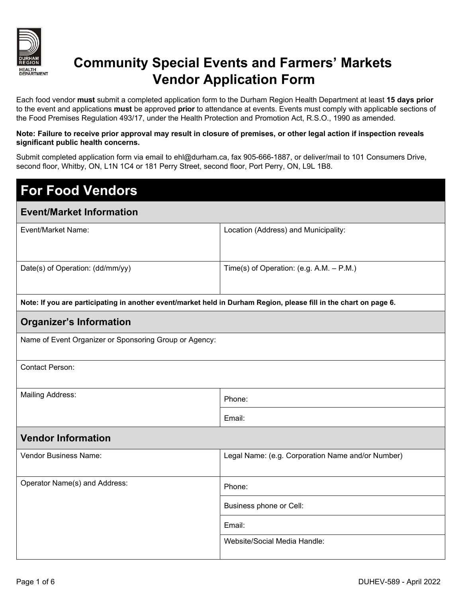

## **Community Special Events and Farmers' Markets Vendor Application Form**

Each food vendor **must** submit a completed application form to the Durham Region Health Department at least **15 days prior**  to the event and applications **must** be approved **prior** to attendance at events. Events must comply with applicable sections of the Food Premises Regulation 493/17, under the Health Protection and Promotion Act, R.S.O., 1990 as amended.

#### **Note: Failure to receive prior approval may result in closure of premises, or other legal action if inspection reveals significant public health concerns.**

Submit completed application form via email to ehl@durham.ca, fax 905-666-1887, or deliver/mail to 101 Consumers Drive, second floor, Whitby, ON, L1N 1C4 or 181 Perry Street, second floor, Port Perry, ON, L9L 1B8.

# **For Food Vendors**

#### **Event/Market Information**

| Event/Market Name:                                                                                                | Location (Address) and Municipality:       |  |  |  |
|-------------------------------------------------------------------------------------------------------------------|--------------------------------------------|--|--|--|
|                                                                                                                   |                                            |  |  |  |
|                                                                                                                   |                                            |  |  |  |
| Date(s) of Operation: (dd/mm/yy)                                                                                  | Time(s) of Operation: (e.g. A.M. $-$ P.M.) |  |  |  |
|                                                                                                                   |                                            |  |  |  |
|                                                                                                                   |                                            |  |  |  |
| Note: If you are participating in another event/market held in Durham Region, please fill in the chart on page 6. |                                            |  |  |  |
| Orașnizar's Information                                                                                           |                                            |  |  |  |

### **Organizer's Information**

Contact Person:

Mailing Address: Phone: Phone: Phone: Phone: Phone: Phone: Phone: Phone: Phone: Phone: Phone: Phone: Phone: Phone: Phone: Phone: Phone: Phone: Phone: Phone: Phone: Phone: Phone: Phone: Phone: Phone: Phone: Phone: Phone: Ph

Email:

### **Vendor Information**

| Vendor Business Name:         | Legal Name: (e.g. Corporation Name and/or Number) |  |  |
|-------------------------------|---------------------------------------------------|--|--|
| Operator Name(s) and Address: | Phone:                                            |  |  |
|                               | Business phone or Cell:                           |  |  |
|                               | Email:                                            |  |  |
|                               | Website/Social Media Handle:                      |  |  |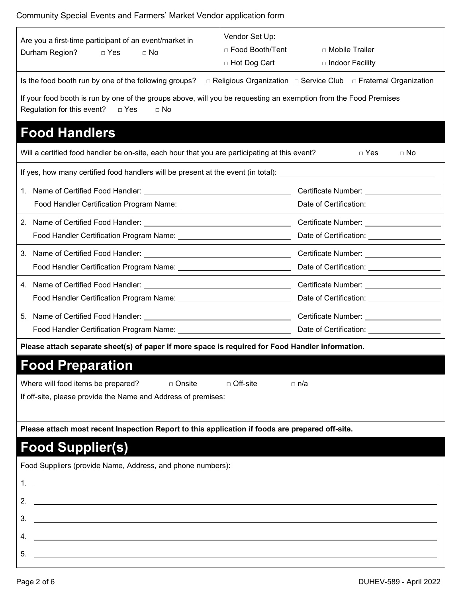### Community Special Events and Farmers' Market Vendor application form

| Are you a first-time participant of an event/market in<br>Durham Region?<br>D Yes<br>$\Box$ No                                                                       | Vendor Set Up:<br>□ Food Booth/Tent<br>□ Hot Dog Cart            | □ Mobile Trailer<br>□ Indoor Facility          |  |  |  |  |
|----------------------------------------------------------------------------------------------------------------------------------------------------------------------|------------------------------------------------------------------|------------------------------------------------|--|--|--|--|
| Is the food booth run by one of the following groups?                                                                                                                | □ Religious Organization □ Service Club □ Fraternal Organization |                                                |  |  |  |  |
| If your food booth is run by one of the groups above, will you be requesting an exemption from the Food Premises<br>Regulation for this event?<br>□ Yes<br>$\Box$ No |                                                                  |                                                |  |  |  |  |
| <b>Food Handlers</b>                                                                                                                                                 |                                                                  |                                                |  |  |  |  |
| Will a certified food handler be on-site, each hour that you are participating at this event?                                                                        |                                                                  | $\Box$ Yes<br>$\Box$ No                        |  |  |  |  |
| If yes, how many certified food handlers will be present at the event (in total): ____________________________                                                       |                                                                  |                                                |  |  |  |  |
|                                                                                                                                                                      |                                                                  | Certificate Number: ___________________        |  |  |  |  |
|                                                                                                                                                                      |                                                                  |                                                |  |  |  |  |
|                                                                                                                                                                      |                                                                  |                                                |  |  |  |  |
|                                                                                                                                                                      |                                                                  | Date of Certification: ___________________     |  |  |  |  |
| 3. Name of Certified Food Handler: Name of Certificate Number: Name of Certificate Number:                                                                           |                                                                  |                                                |  |  |  |  |
|                                                                                                                                                                      |                                                                  |                                                |  |  |  |  |
|                                                                                                                                                                      |                                                                  | Certificate Number: _____________________      |  |  |  |  |
|                                                                                                                                                                      |                                                                  | Date of Certification: _______________________ |  |  |  |  |
|                                                                                                                                                                      |                                                                  |                                                |  |  |  |  |
|                                                                                                                                                                      |                                                                  |                                                |  |  |  |  |
| Please attach separate sheet(s) of paper if more space is required for Food Handler information.                                                                     |                                                                  |                                                |  |  |  |  |
| <b>Food Preparation</b>                                                                                                                                              |                                                                  |                                                |  |  |  |  |
| Where will food items be prepared?<br>$\Box$ Off-site<br>$\sqcap$ Onsite<br>□ n/a                                                                                    |                                                                  |                                                |  |  |  |  |
| If off-site, please provide the Name and Address of premises:                                                                                                        |                                                                  |                                                |  |  |  |  |
|                                                                                                                                                                      |                                                                  |                                                |  |  |  |  |
| Please attach most recent Inspection Report to this application if foods are prepared off-site.                                                                      |                                                                  |                                                |  |  |  |  |
| <b>Food Supplier(s)</b>                                                                                                                                              |                                                                  |                                                |  |  |  |  |
| Food Suppliers (provide Name, Address, and phone numbers):                                                                                                           |                                                                  |                                                |  |  |  |  |
| <u> 1989 - Johann Barbara, martin amerikan basal dan berasal dan berasal dalam basal dalam basal dalam basal dala</u><br>1.                                          |                                                                  |                                                |  |  |  |  |
| 2.<br><u> 1980 - Johann Stoff, deutscher Stoff, der Stoff, der Stoff, der Stoff, der Stoff, der Stoff, der Stoff, der S</u>                                          |                                                                  |                                                |  |  |  |  |
| <u> 1989 - Johann Stoff, deutscher Stoff, der Stoff, der Stoff, der Stoff, der Stoff, der Stoff, der Stoff, der S</u><br>3.                                          |                                                                  |                                                |  |  |  |  |
| 4.                                                                                                                                                                   |                                                                  |                                                |  |  |  |  |
| 5.                                                                                                                                                                   |                                                                  |                                                |  |  |  |  |
| <u> 1980 - Johann Barn, mars ann an t-Amhain Aonaichte ann an t-Amhain Aonaichte ann an t-Amhain Aonaichte ann an</u>                                                |                                                                  |                                                |  |  |  |  |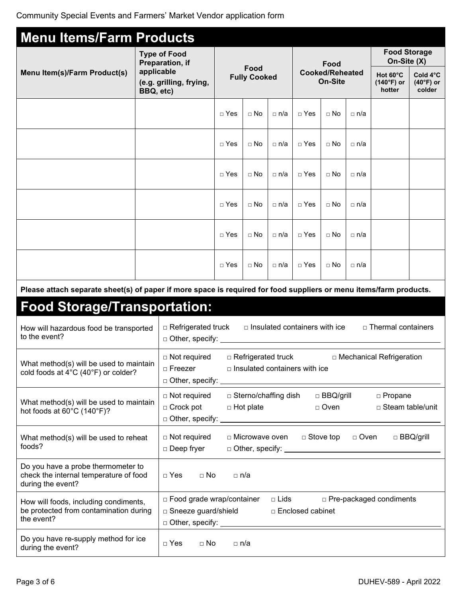| <b>Menu Items/Farm Products</b>                                                                                    |                         |                                                                                                                        |            |                                          |                                                               |                                      |                                    |                                   |                            |                  |
|--------------------------------------------------------------------------------------------------------------------|-------------------------|------------------------------------------------------------------------------------------------------------------------|------------|------------------------------------------|---------------------------------------------------------------|--------------------------------------|------------------------------------|-----------------------------------|----------------------------|------------------|
| <b>Type of Food</b><br>Preparation, if                                                                             |                         |                                                                                                                        |            | Food                                     |                                                               |                                      | <b>Food Storage</b><br>On-Site (X) |                                   |                            |                  |
| Menu Item(s)/Farm Product(s)                                                                                       | applicable<br>BBQ, etc) | Food<br><b>Fully Cooked</b><br>(e.g. grilling, frying,                                                                 |            | <b>Cooked/Reheated</b><br><b>On-Site</b> |                                                               |                                      | Hot 60°C<br>(140°F) or<br>hotter   | Cold 4°C<br>$(40°F)$ or<br>colder |                            |                  |
|                                                                                                                    |                         |                                                                                                                        | $\Box$ Yes | $\Box$ No                                | □ n/a                                                         | $\Box$ Yes                           | $\Box$ No                          | $\Box$ n/a                        |                            |                  |
|                                                                                                                    |                         |                                                                                                                        | $\Box$ Yes | $\Box$ No                                | □ n/a                                                         | $\Box$ Yes                           | $\Box$ No                          | $\Box$ n/a                        |                            |                  |
|                                                                                                                    |                         |                                                                                                                        | $\Box$ Yes | $\Box$ No                                | □ n/a                                                         | $\Box$ Yes                           | $\Box$ No                          | $\Box$ n/a                        |                            |                  |
|                                                                                                                    |                         |                                                                                                                        | $\Box$ Yes | $\Box$ No                                | □ n/a                                                         | $\sqcap$ Yes                         | $\Box$ No                          | $\Box$ n/a                        |                            |                  |
|                                                                                                                    |                         |                                                                                                                        | $\Box$ Yes | $\Box$ No                                | □ n/a                                                         | $\Box$ Yes                           | $\Box$ No                          | $\Box$ n/a                        |                            |                  |
|                                                                                                                    |                         |                                                                                                                        | $\Box$ Yes | $\Box$ No                                | □ n/a                                                         | $\Box$ Yes                           | $\Box$ No                          | □ n/a                             |                            |                  |
| Please attach separate sheet(s) of paper if more space is required for food suppliers or menu items/farm products. |                         |                                                                                                                        |            |                                          |                                                               |                                      |                                    |                                   |                            |                  |
| <b>Food Storage/Transportation:</b>                                                                                |                         |                                                                                                                        |            |                                          |                                                               |                                      |                                    |                                   |                            |                  |
| How will hazardous food be transported<br>to the event?                                                            |                         | □ Refrigerated truck<br>□ Other, specify: ___                                                                          |            |                                          |                                                               | $\Box$ Insulated containers with ice |                                    |                                   | $\Box$ Thermal containers  |                  |
| What method(s) will be used to maintain<br>cold foods at 4°C (40°F) or colder?                                     |                         | $\Box$ Not required<br>$\Box$ Freezer<br>□ Other, specify: _                                                           |            | $\Box$ Refrigerated truck                |                                                               | $\Box$ Insulated containers with ice |                                    |                                   | □ Mechanical Refrigeration |                  |
| What method(s) will be used to maintain<br>hot foods at 60°C (140°F)?                                              |                         | □ Sterno/chaffing dish<br>$\Box$ Not required<br>$\Box$ Crock pot<br>$\Box$ Hot plate<br>$\Box$ Other, specify: $\Box$ |            |                                          | $\Box$ BBQ/grill<br>□ Propane<br>□ Steam table/unit<br>□ Oven |                                      |                                    |                                   |                            |                  |
| What method(s) will be used to reheat<br>foods?                                                                    |                         | $\Box$ Not required<br>□ Deep fryer                                                                                    |            | □ Microwave oven                         |                                                               |                                      | $\Box$ Stove top                   | □ Oven                            |                            | $\Box$ BBQ/grill |
| Do you have a probe thermometer to<br>check the internal temperature of food<br>during the event?                  |                         | $\Box$ No<br>$\Box$ Yes                                                                                                |            | $\Box$ n/a                               |                                                               |                                      |                                    |                                   |                            |                  |
| How will foods, including condiments,<br>be protected from contamination during<br>the event?                      |                         | □ Food grade wrap/container<br>□ Sneeze guard/shield<br>□ Other, specify:                                              |            |                                          | $\Box$ Lids                                                   | □ Enclosed cabinet                   |                                    |                                   | □ Pre-packaged condiments  |                  |
| Do you have re-supply method for ice<br>during the event?                                                          |                         | $\Box$ Yes<br>$\Box$ No                                                                                                |            | $\Box$ n/a                               |                                                               |                                      |                                    |                                   |                            |                  |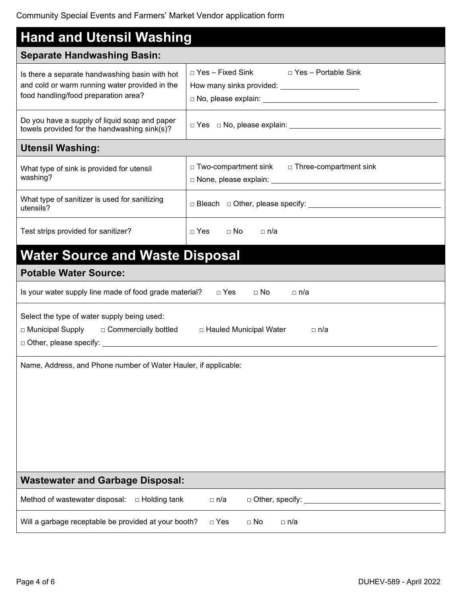| <b>Hand and Utensil Washing</b>                                                                                                          |                                                                                                      |  |  |  |
|------------------------------------------------------------------------------------------------------------------------------------------|------------------------------------------------------------------------------------------------------|--|--|--|
| <b>Separate Handwashing Basin:</b>                                                                                                       |                                                                                                      |  |  |  |
| Is there a separate handwashing basin with hot<br>and cold or warm running water provided in the<br>food handling/food preparation area? | $\Box$ Yes – Fixed Sink<br>□ Yes – Portable Sink<br>How many sinks provided: _______________________ |  |  |  |
| Do you have a supply of liquid soap and paper<br>towels provided for the handwashing sink(s)?                                            | $\Box$ Yes $\Box$ No, please explain: $\Box$                                                         |  |  |  |
| <b>Utensil Washing:</b>                                                                                                                  |                                                                                                      |  |  |  |
| What type of sink is provided for utensil<br>washing?                                                                                    | $\Box$ Two-compartment sink $\Box$ Three-compartment sink                                            |  |  |  |
| What type of sanitizer is used for sanitizing<br>utensils?                                                                               |                                                                                                      |  |  |  |
| Test strips provided for sanitizer?                                                                                                      | $\Box$ Yes<br>$\Box$ No<br>$\sqcap$ n/a                                                              |  |  |  |
| <b>Water Source and Waste Disposal</b>                                                                                                   |                                                                                                      |  |  |  |
| <b>Potable Water Source:</b>                                                                                                             |                                                                                                      |  |  |  |
| Is your water supply line made of food grade material?<br>$\Box$ Yes<br>$\sqcap$ No<br>□ n/a                                             |                                                                                                      |  |  |  |
| Select the type of water supply being used:<br>□ Municipal Supply □ Commercially bottled<br>□ Hauled Municipal Water<br>⊟ n/a            |                                                                                                      |  |  |  |
| Name, Address, and Phone number of Water Hauler, if applicable:                                                                          |                                                                                                      |  |  |  |
| <b>Wastewater and Garbage Disposal:</b>                                                                                                  |                                                                                                      |  |  |  |
| Method of wastewater disposal:<br>□ Holding tank                                                                                         | $\Box$ Other, specify: $\Box$<br>□ n/a                                                               |  |  |  |
| Will a garbage receptable be provided at your booth?                                                                                     | $\Box$ Yes<br>$\Box$ No<br>□ n/a                                                                     |  |  |  |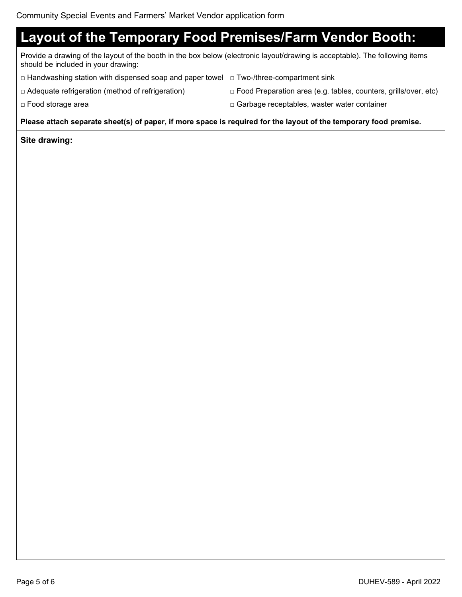## **Layout of the Temporary Food Premises/Farm Vendor Booth:**

Provide a drawing of the layout of the booth in the box below (electronic layout/drawing is acceptable). The following items should be included in your drawing:

- □ Handwashing station with dispensed soap and paper towel □ Two-/three-compartment sink
- 
- □ Adequate refrigeration (method of refrigeration) □ Food Preparation area (e.g. tables, counters, grills/over, etc)
- □ Food storage area □ Garbage receptables, waster water container

#### **Please attach separate sheet(s) of paper, if more space is required for the layout of the temporary food premise.**

#### **Site drawing:**